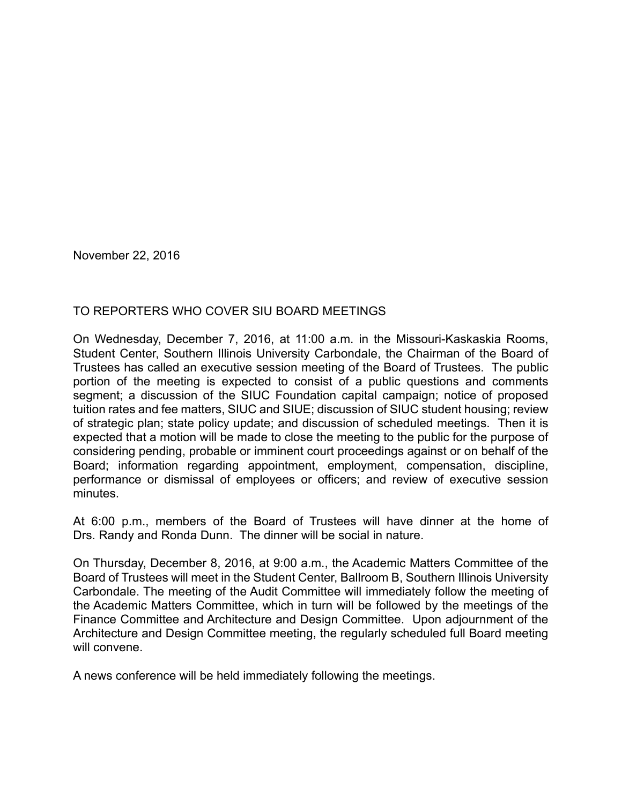November 22, 2016

## TO REPORTERS WHO COVER SIU BOARD MEETINGS

On Wednesday, December 7, 2016, at 11:00 a.m. in the Missouri-Kaskaskia Rooms, Student Center, Southern Illinois University Carbondale, the Chairman of the Board of Trustees has called an executive session meeting of the Board of Trustees. The public portion of the meeting is expected to consist of a public questions and comments segment; a discussion of the SIUC Foundation capital campaign; notice of proposed tuition rates and fee matters, SIUC and SIUE; discussion of SIUC student housing; review of strategic plan; state policy update; and discussion of scheduled meetings. Then it is expected that a motion will be made to close the meeting to the public for the purpose of considering pending, probable or imminent court proceedings against or on behalf of the Board; information regarding appointment, employment, compensation, discipline, performance or dismissal of employees or officers; and review of executive session minutes.

At 6:00 p.m., members of the Board of Trustees will have dinner at the home of Drs. Randy and Ronda Dunn. The dinner will be social in nature.

On Thursday, December 8, 2016, at 9:00 a.m., the Academic Matters Committee of the Board of Trustees will meet in the Student Center, Ballroom B, Southern Illinois University Carbondale. The meeting of the Audit Committee will immediately follow the meeting of the Academic Matters Committee, which in turn will be followed by the meetings of the Finance Committee and Architecture and Design Committee. Upon adjournment of the Architecture and Design Committee meeting, the regularly scheduled full Board meeting will convene.

A news conference will be held immediately following the meetings.